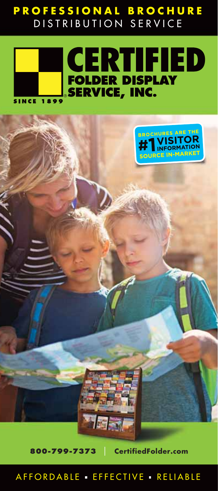#### **PROFESSIONAL BROCHURE** DISTRIBUTION SERVICE





**800-799-7373** I **CertifiedFolder.com**

AFFORDABLE · EFFECTIVE · RELIABLE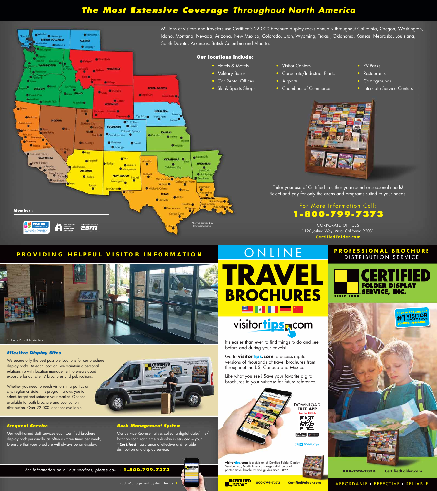#### **PROFESSIONAL BROCHURE** DISTRIBUTION SERVICE



**IVISITOR INFORD** 

AFFORDABLE EFFECTIVE RELIABLE

It's easier than ever to find things to do and see

before and during your travels!

Go to **visitortips.com** to access digital versions of thousands of travel brochures from

throughout the US, Canada and Mexico.



Like what you see? Save your favorite digital brochures to your suitcase for future reference.

**800-799-7373** I **CertifiedFolder.com**







## visitortips rom

# ONLINE

Whether you need to reach visitors in a particular city, region or state, this program allows you to select, target and saturate your market. Options available for both brochure and publication distribution. Over 22,000 locations available.



**FREE APP Scan this QR Code**

> 回报厕 酪

 $\fbox{\parbox{1.5cm} {\begin{picture}(10,6) \put(0,0){\vector(0,1){10}} \put(0,0){\vector(0,1){10}} \put(1,0){\vector(0,1){10}} \put(1,0){\vector(0,1){10}} \put(1,0){\vector(0,1){10}} \put(1,0){\vector(0,1){10}} \put(1,0){\vector(0,1){10}} \put(1,0){\vector(0,1){10}} \put(1,0){\vector(0,1){10}} \put(1,0){\vector(0,1){10}} \put(1,0){\vector(0,1){10}} \put(1,0){\vector(0,$ 



#### **PROVIDING HELPFUL VISITOR INFORMATION**

For information on all our services, please call › **1-800-799-7373**

Rack Management System Device ›

## **Effective Display Sites**

We secure only the best possible locations for our brochure display racks. At each location, we maintain a personal relationship with location management to ensure good exposure for our clients' brochures and publications.

#### **Rack Management System**

Our Service Representatives collect a digital date/time/ location scan each time a display is serviced – your **"Certified"** assurance of effective and reliable distribution and display service.

**M** CERTIFIEI

## **Frequent Service**

Our well-trained staff services each Certified brochure display rack personally, as often as three times per week, to ensure that your brochure will always be on display.

## **The Most Extensive Coverage Throughout North America**



**CertifiedFolder.com**